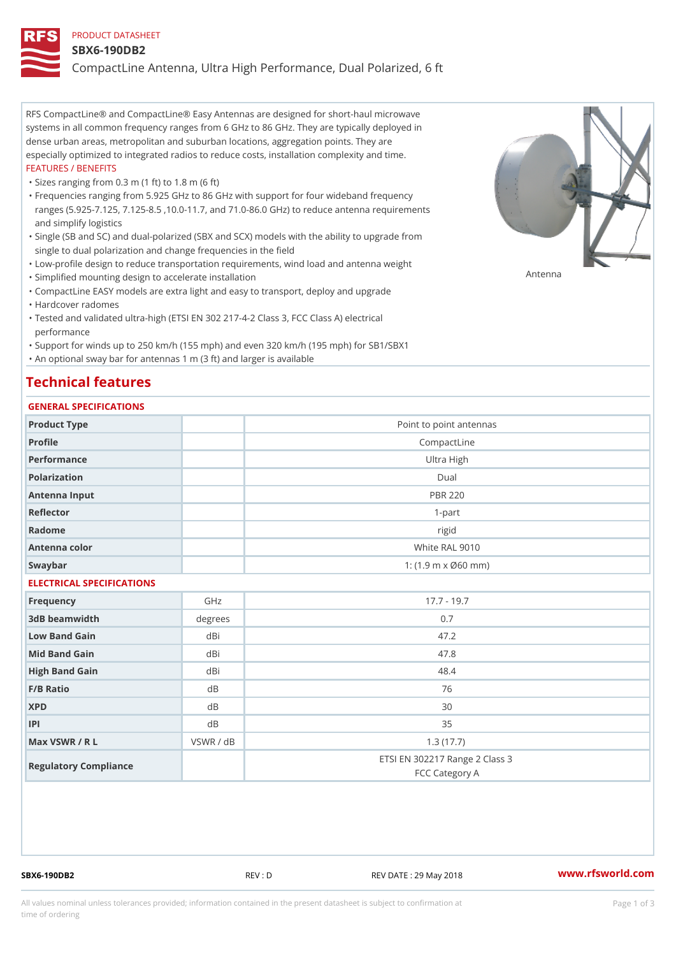### PRODUCT DATASHEET

### SBX6-190DB2

CompactLine Antenna, Ultra High Performance, Dual Polarized, 6 ft

RFS CompactLine® and CompactLine® Easy Antennas are designed for short-haul microwave systems in all common frequency ranges from 6 GHz to 86 GHz. They are typically deployed in dense urban areas, metropolitan and suburban locations, aggregation points. They are especially optimized to integrated radios to reduce costs, installation complexity and time. FEATURES / BENEFITS

"Sizes ranging from 0.3 m (1 ft) to 1.8 m (6 ft)

- Frequencies ranging from 5.925 GHz to 86 GHz with support for four wideband frequency " ranges (5.925-7.125, 7.125-8.5 ,10.0-11.7, and 71.0-86.0 GHz) to reduce antenna requirements and simplify logistics
- Single (SB and SC) and dual-polarized (SBX and SCX) models with the ability to upgrade from " single to dual polarization and change frequencies in the field
- "Low-profile design to reduce transportation requirements, wind load and antenna weight
- "Simplified mounting design to accelerate installation

 "CompactLine EASY models are extra light and easy to transport, deploy and upgrade "Hardcover radomes

Tested and validated ultra-high (ETSI EN 302 217-4-2 Class 3, FCC Class A) electrical " performance

 "Support for winds up to 250 km/h (155 mph) and even 320 km/h (195 mph) for SB1/SBX1 "An optional sway bar for antennas 1 m (3 ft) and larger is available

## Technical features

## GENERAL SPECIFICATIONS

| OLIVERAL OF LOTITOATIONS  |           |                                                  |  |  |
|---------------------------|-----------|--------------------------------------------------|--|--|
| Product Type              |           | Point to point antennas                          |  |  |
| Profile                   |           | CompactLine                                      |  |  |
| Performance               |           | Ultra High                                       |  |  |
| Polarization              |           | $D$ ual                                          |  |  |
| Antenna Input             |           | <b>PBR 220</b>                                   |  |  |
| Reflector                 |           | $1-part$                                         |  |  |
| Radome                    |           | rigid                                            |  |  |
| Antenna color             |           | White RAL 9010                                   |  |  |
| Swaybar                   |           | 1: $(1.9 \, m \times 060 \, mm)$                 |  |  |
| ELECTRICAL SPECIFICATIONS |           |                                                  |  |  |
| Frequency                 | GHz       | $17.7 - 19.7$                                    |  |  |
| 3dB beamwidth             | degrees   | 0.7                                              |  |  |
| Low Band Gain             | dBi       | 47.2                                             |  |  |
| Mid Band Gain             | dBi       | 47.8                                             |  |  |
| High Band Gain            | dBi       | 48.4                                             |  |  |
| $F/B$ Ratio               | d B       | 76                                               |  |  |
| <b>XPD</b>                | $d$ B     | 30                                               |  |  |
| P                         | d B       | 35                                               |  |  |
| Max VSWR / R L            | VSWR / dB | 1.3(17.7)                                        |  |  |
| Regulatory Compliance     |           | ETSI EN 302217 Range 2 Class 3<br>FCC Category A |  |  |

SBX6-190DB2 REV : D REV DATE : 29 May 2018 [www.](https://www.rfsworld.com)rfsworld.com

Antenna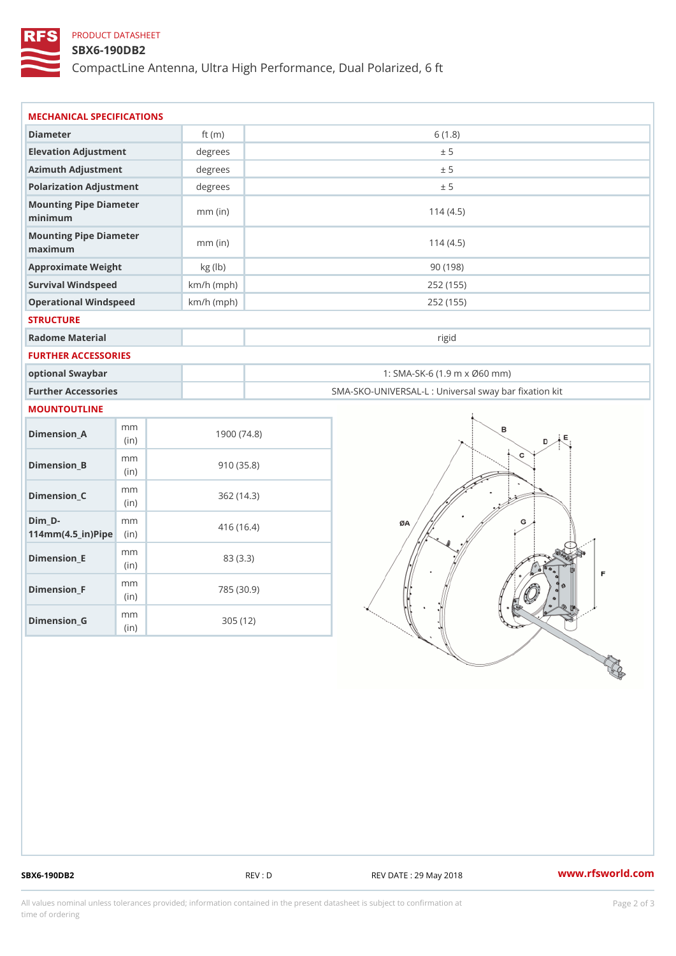## PRODUCT DATASHEET

## SBX6-190DB2

CompactLine Antenna, Ultra High Performance, Dual Polarized, 6 ft

| MECHANICAL SPECIFICATIONS                                                      |              |                                                   |
|--------------------------------------------------------------------------------|--------------|---------------------------------------------------|
| Diameter                                                                       | ft $(m)$     | 6(1.8)                                            |
| Elevation Adjustment                                                           | degrees      | ± 5                                               |
| Azimuth Adjustment                                                             | degrees      | ± 5                                               |
| Polarization Adjustment                                                        | degrees      | ± 5                                               |
| Mounting Pipe Diameter<br>minimum                                              | $mm$ (in)    | 114(4.5)                                          |
| Mounting Pipe Diameter<br>maximum                                              | $mm$ (in)    | 114(4.5)                                          |
| Approximate Weight                                                             | kg (lb)      | 90(198)                                           |
| Survival Windspeed                                                             | $km/h$ (mph) | 252 (155)                                         |
| Operational Windspeed                                                          | $km/h$ (mph) | 252 (155)                                         |
| <b>STRUCTURE</b>                                                               |              |                                                   |
| Radome Material                                                                |              | rigid                                             |
| FURTHER ACCESSORIES                                                            |              |                                                   |
| optional Swaybar                                                               |              | 1: SMA-SK-6 (1.9 m x Ø60 mm)                      |
| Further Accessories                                                            |              | SMA-SKO-UNIVERSAL-L : Universal sway bar fixation |
| MOUNTOUTLINE                                                                   |              |                                                   |
| m m<br>$Dimenision_A$<br>(in)                                                  |              | 1900(74.8)                                        |
| m m<br>$Dimension_B$<br>(in)                                                   |              | 910(35.8)                                         |
| m m<br>$Dimension_C$<br>(in)                                                   |              | 362(14.3)                                         |
| $Dim_D - D -$<br>m m<br>$114$ m m (4.5 _ ir ) $\sqrt{$ ii p $\sqrt{$ $\approx$ |              | 416(16.4)                                         |
| m m<br>$Dimension$ = E<br>(i n)                                                |              | 83 (3.3)                                          |
| m m<br>$Dimension_F$<br>(in)                                                   |              | 785 (30.9)                                        |
| m m<br>$Dimension_G$                                                           |              | 305 (12)                                          |

SBX6-190DB2 REV : D REV DATE : 29 May 2018 WWW.rfsworld.com

All values nominal unless tolerances provided; information contained in the present datasheet is subject to Pcapgelio an atio time of ordering